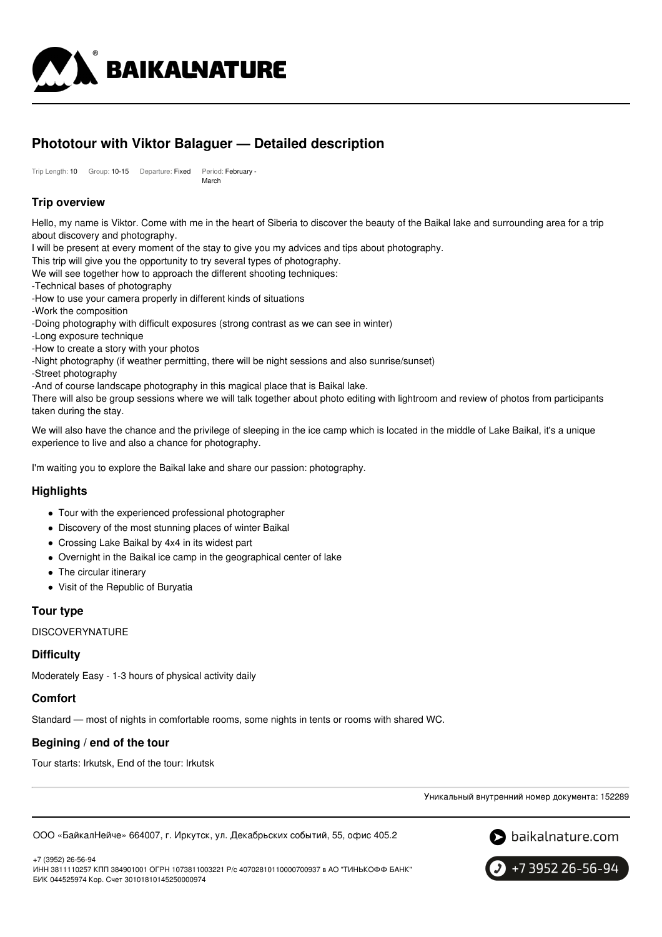

# **Phototour with Viktor Balaguer — Detailed description**

Trip Length: 10 Group: 10-15 Departure: Fixed Period: February - March

# **Trip overview**

Hello, my name is Viktor. Come with me in the heart of Siberia to discover the beauty of the Baikal lake and surrounding area for a trip about discovery and photography.

I will be present at every moment of the stay to give you my advices and tips about photography.

This trip will give you the opportunity to try several types of photography.

We will see together how to approach the different shooting techniques:

- -Technical bases of photography
- -How to use your camera properly in different kinds of situations
- -Work the composition

-Doing photography with difficult exposures (strong contrast as we can see in winter)

- -Long exposure technique
- -How to create a story with your photos
- -Night photography (if weather permitting, there will be night sessions and also sunrise/sunset)
- -Street photography

-And of course landscape photography in this magical place that is Baikal lake.

There will also be group sessions where we will talk together about photo editing with lightroom and review of photos from participants taken during the stay.

We will also have the chance and the privilege of sleeping in the ice camp which is located in the middle of Lake Baikal, it's a unique experience to live and also a chance for photography.

I'm waiting you to explore the Baikal lake and share our passion: photography.

### **Highlights**

- Tour with the experienced professional photographer
- Discovery of the most stunning places of winter Baikal
- Crossing Lake Baikal by 4x4 in its widest part
- Overnight in the Baikal ice camp in the geographical center of lake
- The circular itinerary
- Visit of the Republic of Buryatia

### **Tour type**

**DISCOVERYNATURE** 

### **Difficulty**

Moderately Easy - 1-3 hours of physical activity daily

### **Comfort**

Standard — most of nights in comfortable rooms, some nights in tents or rooms with shared WC.

### **Begining / end of the tour**

Tour starts: Irkutsk, End of the tour: Irkutsk

Уникальный внутренний номер документа: 152289

ООО «БайкалНейче» 664007, г. Иркутск, ул. Декабрьских событий, 55, офис 405.2



+7 (3952) 26-56-94

ИНН 3811110257 КПП 384901001 ОГРН 1073811003221 Р/с 40702810110000700937 в АО "ТИНЬКОФФ БАНК" БИК 044525974 Кор. Счет 30101810145250000974

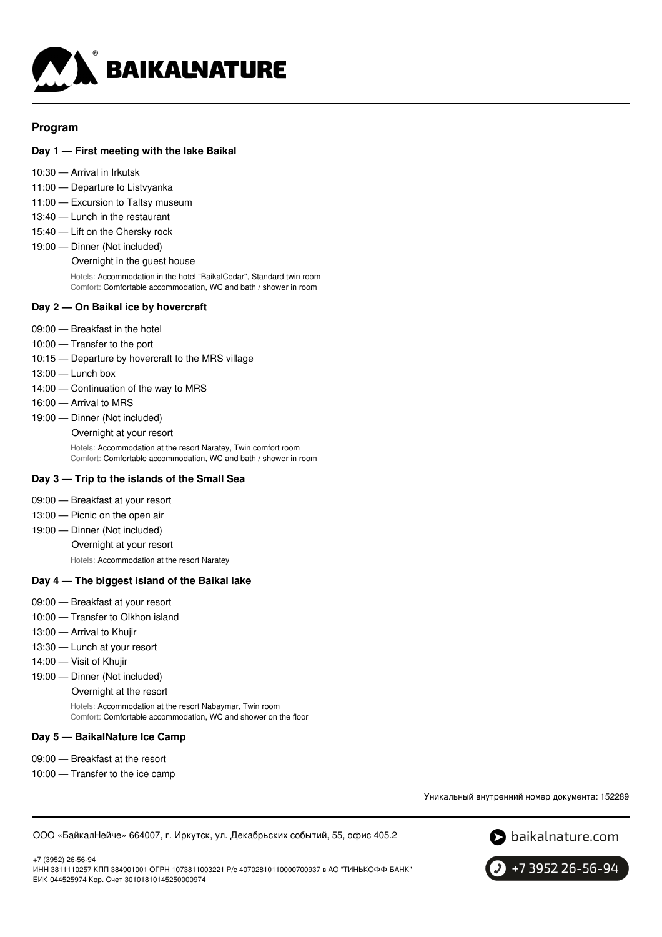

## **Program**

### **Day 1 — First meeting with the lake Baikal**

- 10:30 Arrival in Irkutsk
- 11:00 Departure to Listvyanka
- 11:00 Excursion to Taltsy museum
- 13:40 Lunch in the restaurant
- 15:40 Lift on the Chersky rock
- 19:00 Dinner (Not included)

Overnight in the guest house

Hotels: Accommodation in the hotel "BaikalCedar", Standard twin room Comfort: Comfortable accommodation, WC and bath / shower in room

#### **Day 2 — On Baikal ice by hovercraft**

- 09:00 Breakfast in the hotel
- 10:00 Transfer to the port
- 10:15 Departure by hovercraft to the MRS village
- 13:00 Lunch box
- 14:00 Continuation of the way to MRS
- 16:00 Arrival to MRS
- 19:00 Dinner (Not included)

Overnight at your resort

Hotels: Accommodation at the resort Naratey, Twin comfort room Comfort: Comfortable accommodation, WC and bath / shower in room

#### **Day 3 — Trip to the islands of the Small Sea**

- 09:00 Breakfast at your resort
- 13:00 Picnic on the open air
- 19:00 Dinner (Not included)

Overnight at your resort

Hotels: Accommodation at the resort Naratey

#### **Day 4 — The biggest island of the Baikal lake**

- 09:00 Breakfast at your resort
- 10:00 Transfer to Olkhon island
- 13:00 Arrival to Khujir
- 13:30 Lunch at your resort
- 14:00 Visit of Khujir
- 19:00 Dinner (Not included)
	- Overnight at the resort

Hotels: Accommodation at the resort Nabaymar, Twin room Comfort: Comfortable accommodation, WC and shower on the floor

#### **Day 5 — BaikalNature Ice Camp**

- 09:00 Breakfast at the resort
- 10:00 Transfer to the ice camp

Уникальный внутренний номер документа: 152289

ООО «БайкалНейче» 664007, г. Иркутск, ул. Декабрьских событий, 55, офис 405.2



+7 (3952) 26-56-94 ИНН 3811110257 КПП 384901001 ОГРН 1073811003221 Р/с 40702810110000700937 в АО "ТИНЬКОФФ БАНК" БИК 044525974 Кор. Счет 30101810145250000974

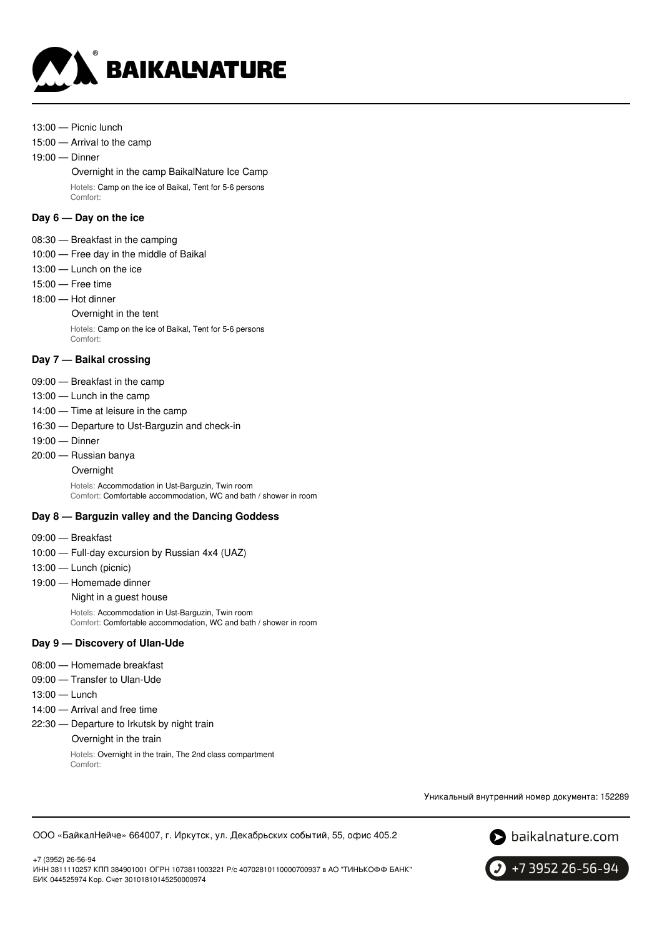

- 13:00 Picnic lunch
- 15:00 Arrival to the camp

19:00 — Dinner

Overnight in the camp BaikalNature Ice Camp Hotels: Camp on the ice of Baikal, Tent for 5-6 persons Comfort:

#### **Day 6 — Day on the ice**

- 08:30 Breakfast in the camping
- 10:00 Free day in the middle of Baikal
- 13:00 Lunch on the ice
- 15:00 Free time
- 18:00 Hot dinner

### Overnight in the tent

Hotels: Camp on the ice of Baikal, Tent for 5-6 persons Comfort:

#### **Day 7 — Baikal crossing**

- 09:00 Breakfast in the camp
- 13:00 Lunch in the camp
- 14:00 Time at leisure in the camp
- 16:30 Departure to Ust-Barguzin and check-in
- 19:00 Dinner
- 20:00 Russian banya
	- **Overnight**

Hotels: Accommodation in Ust-Barguzin, Twin room Comfort: Comfortable accommodation, WC and bath / shower in room

#### **Day 8 — Barguzin valley and the Dancing Goddess**

- 09:00 Breakfast
- 10:00 Full-day excursion by Russian 4x4 (UAZ)
- 13:00 Lunch (picnic)
- 19:00 Homemade dinner

Night in a guest house

Hotels: Accommodation in Ust-Barguzin, Twin room Comfort: Comfortable accommodation, WC and bath / shower in room

#### **Day 9 — Discovery of Ulan-Ude**

- 08:00 Homemade breakfast
- 09:00 Transfer to Ulan-Ude
- 13:00 Lunch
- 14:00 Arrival and free time
- 22:30 Departure to Irkutsk by night train

Overnight in the train

Hotels: Overnight in the train, The 2nd class compartment Comfort:

Уникальный внутренний номер документа: 152289





+7 (3952) 26-56-94 ИНН 3811110257 КПП 384901001 ОГРН 1073811003221 Р/с 40702810110000700937 в АО "ТИНЬКОФФ БАНК" БИК 044525974 Кор. Счет 30101810145250000974

+7 3952 26-56-94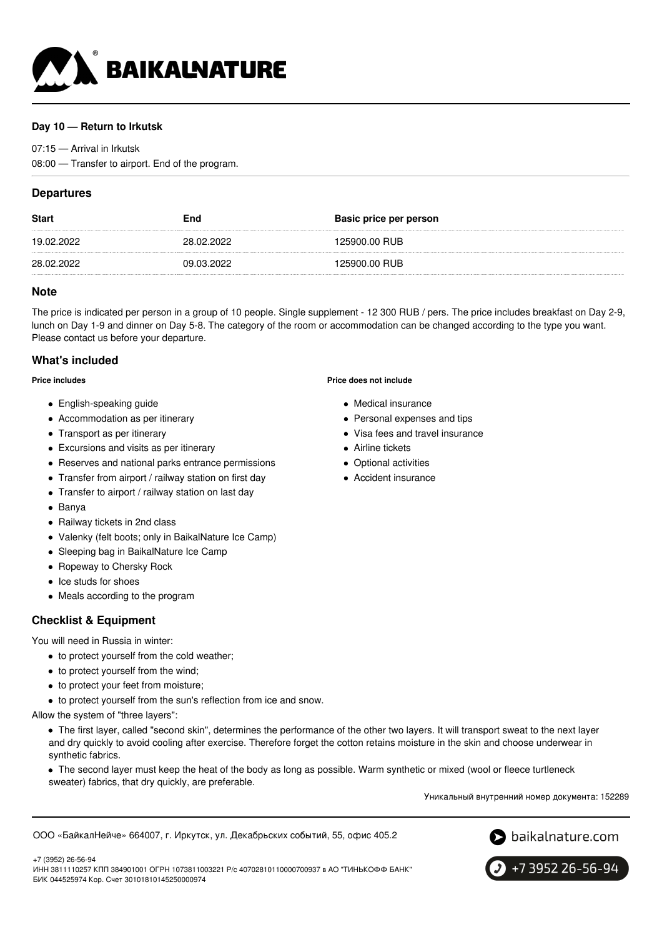

### **Day 10 — Return to Irkutsk**

07:15 — Arrival in Irkutsk

08:00 — Transfer to airport. End of the program.

## **Departures**

| <b>Start</b> | End        | Basic price per person |
|--------------|------------|------------------------|
| 19.02.2022   | 28.02.2022 | 125900.00 RUB          |
| 28.02.2022   | 09.03.2022 | 125900.00 RUB          |

#### **Note**

The price is indicated per person in a group of 10 people. Single supplement - 12 300 RUB / pers. The price includes breakfast on Day 2-9, lunch on Day 1-9 and dinner on Day 5-8. The category of the room or accommodation can be changed according to the type you want. Please contact us before your departure.

### **What's included**

**Price includes**

- English-speaking guide
- Accommodation as per itinerary
- Transport as per itinerary
- Excursions and visits as per itinerary
- Reserves and national parks entrance permissions
- Transfer from airport / railway station on first day
- Transfer to airport / railway station on last day
- Banya
- Railway tickets in 2nd class
- Valenky (felt boots; only in BaikalNature Ice Camp)
- Sleeping bag in BaikalNature Ice Camp
- Ropeway to Chersky Rock
- Ice studs for shoes
- Meals according to the program

### **Checklist & Equipment**

You will need in Russia in winter:

- to protect yourself from the cold weather:
- to protect yourself from the wind;

БИК 044525974 Кор. Счет 30101810145250000974

- to protect your feet from moisture;
- $\bullet$  to protect yourself from the sun's reflection from ice and snow.

Allow the system of "three layers":

+7 (3952) 26-56-94

The first layer, called "second skin", determines the performance of the other two layers. It will transport sweat to the next layer and dry quickly to avoid cooling after exercise. Therefore forget the cotton retains moisture in the skin and choose underwear in synthetic fabrics.

The second layer must keep the heat of the body as long as possible. Warm synthetic or mixed (wool or fleece turtleneck sweater) fabrics, that dry quickly, are preferable.

Уникальный внутренний номер документа: 152289

ООО «БайкалНейче» 664007, г. Иркутск, ул. Декабрьских событий, 55, офис 405.2

ИНН 3811110257 КПП 384901001 ОГРН 1073811003221 Р/с 40702810110000700937 в АО "ТИНЬКОФФ БАНК"





**Price does not include**

- Medical insurance
- Personal expenses and tips
- Visa fees and travel insurance
- **•** Airline tickets
- Optional activities
- Accident insurance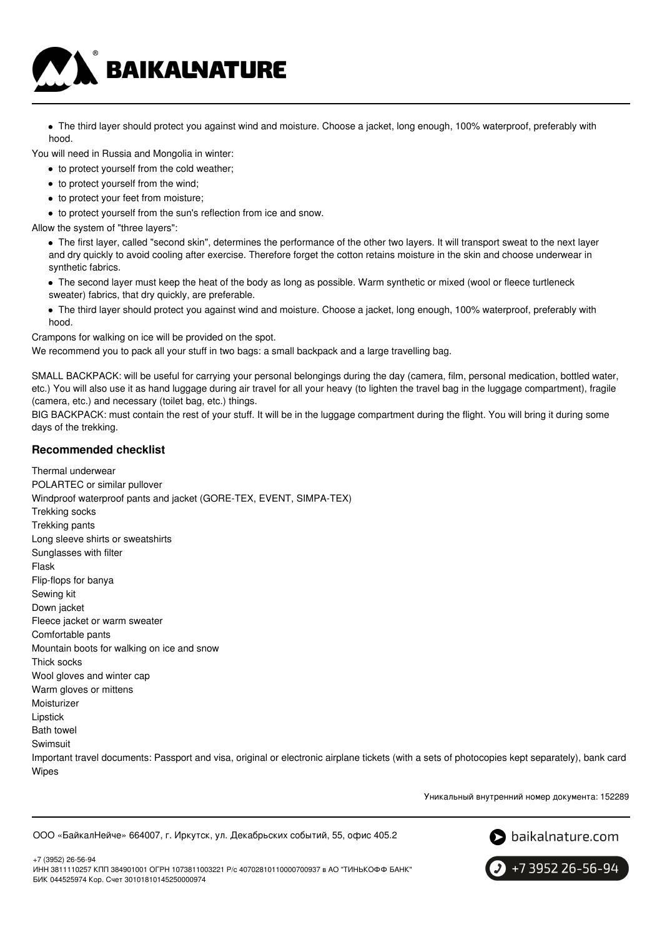

The third layer should protect you against wind and moisture. Choose a jacket, long enough, 100% waterproof, preferably with hood.

You will need in Russia and Mongolia in winter:

- to protect yourself from the cold weather;
- to protect yourself from the wind;
- to protect your feet from moisture;

to protect yourself from the sun's reflection from ice and snow.

Allow the system of "three layers":

The first layer, called "second skin", determines the performance of the other two layers. It will transport sweat to the next layer and dry quickly to avoid cooling after exercise. Therefore forget the cotton retains moisture in the skin and choose underwear in synthetic fabrics.

- The second layer must keep the heat of the body as long as possible. Warm synthetic or mixed (wool or fleece turtleneck sweater) fabrics, that dry quickly, are preferable.
- The third layer should protect you against wind and moisture. Choose a jacket, long enough, 100% waterproof, preferably with hood.

Crampons for walking on ice will be provided on the spot.

We recommend you to pack all your stuff in two bags: a small backpack and a large travelling bag.

SMALL BACKPACK: will be useful for carrying your personal belongings during the day (camera, film, personal medication, bottled water, etc.) You will also use it as hand luggage during air travel for all your heavy (to lighten the travel bag in the luggage compartment), fragile (camera, etc.) and necessary (toilet bag, etc.) things.

BIG BACKPACK: must contain the rest of your stuff. It will be in the luggage compartment during the flight. You will bring it during some days of the trekking.

### **Recommended checklist**

Thermal underwear POLARTEC or similar pullover Windproof waterproof pants and jacket (GORE-TEX, EVENT, SIMPA-TEX) Trekking socks Trekking pants Long sleeve shirts or sweatshirts Sunglasses with filter Flask Flip-flops for banya Sewing kit Down jacket Fleece jacket or warm sweater Comfortable pants Mountain boots for walking on ice and snow Thick socks Wool gloves and winter cap Warm gloves or mittens Moisturizer Lipstick Bath towel Swimsuit Important travel documents: Passport and visa, original or electronic airplane tickets (with a sets of photocopies kept separately), bank card Wipes

Уникальный внутренний номер документа: 152289

ООО «БайкалНейче» 664007, г. Иркутск, ул. Декабрьских событий, 55, офис 405.2



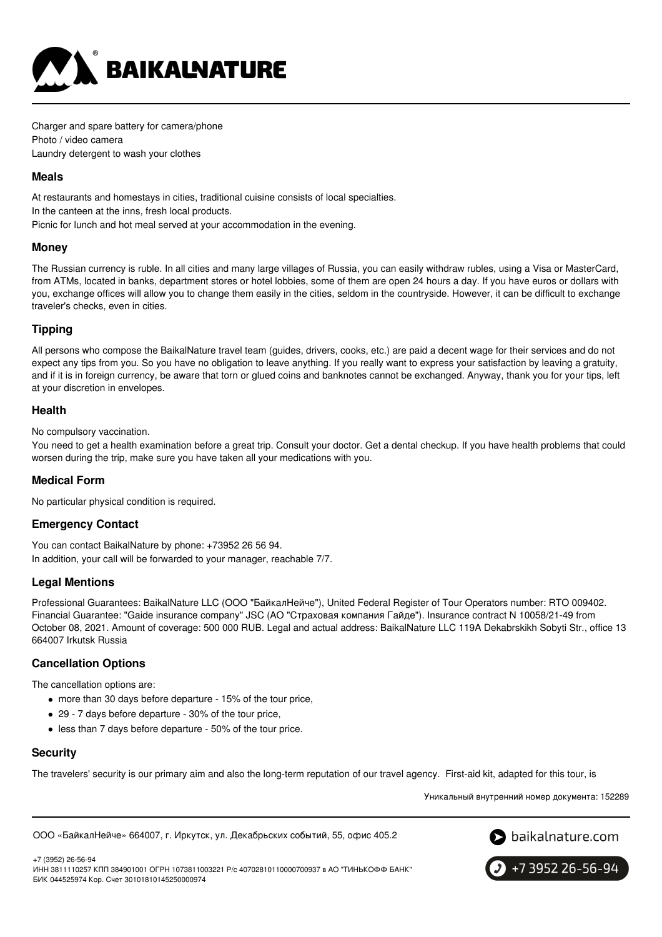

Charger and spare battery for camera/phone Photo / video camera Laundry detergent to wash your clothes

### **Meals**

At restaurants and homestays in cities, traditional cuisine consists of local specialties. In the canteen at the inns, fresh local products. Picnic for lunch and hot meal served at your accommodation in the evening.

### **Money**

The Russian currency is ruble. In all cities and many large villages of Russia, you can easily withdraw rubles, using a Visa or MasterCard, from ATMs, located in banks, department stores or hotel lobbies, some of them are open 24 hours a day. If you have euros or dollars with you, exchange offices will allow you to change them easily in the cities, seldom in the countryside. However, it can be difficult to exchange traveler's checks, even in cities.

# **Tipping**

All persons who compose the BaikalNature travel team (guides, drivers, cooks, etc.) are paid a decent wage for their services and do not expect any tips from you. So you have no obligation to leave anything. If you really want to express your satisfaction by leaving a gratuity, and if it is in foreign currency, be aware that torn or glued coins and banknotes cannot be exchanged. Anyway, thank you for your tips, left at your discretion in envelopes.

# **Health**

No compulsory vaccination.

You need to get a health examination before a great trip. Consult your doctor. Get a dental checkup. If you have health problems that could worsen during the trip, make sure you have taken all your medications with you.

# **Medical Form**

No particular physical condition is required.

# **Emergency Contact**

You can contact BaikalNature by phone: +73952 26 56 94. In addition, your call will be forwarded to your manager, reachable 7/7.

# **Legal Mentions**

Professional Guarantees: BaikalNature LLC (ООО "БайкалНейче"), United Federal Register of Tour Operators number: RTO 009402. Financial Guarantee: "Gaide insurance company" JSC (АО "Страховая компания Гайде"). Insurance contract N 10058/21-49 from October 08, 2021. Amount of coverage: 500 000 RUB. Legal and actual address: BaikalNature LLC 119А Dekabrskikh Sobyti Str., office 13 664007 Irkutsk Russia

# **Cancellation Options**

The cancellation options are:

- more than 30 days before departure 15% of the tour price,
- 29 7 days before departure 30% of the tour price,
- less than 7 days before departure 50% of the tour price.

# **Security**

The travelers' security is our primary aim and also the long-term reputation of our travel agency. First-aid kit, adapted for this tour, is

Уникальный внутренний номер документа: 152289

ООО «БайкалНейче» 664007, г. Иркутск, ул. Декабрьских событий, 55, офис 405.2



+7 (3952) 26-56-94 ИНН 3811110257 КПП 384901001 ОГРН 1073811003221 Р/с 40702810110000700937 в АО "ТИНЬКОФФ БАНК" БИК 044525974 Кор. Счет 30101810145250000974